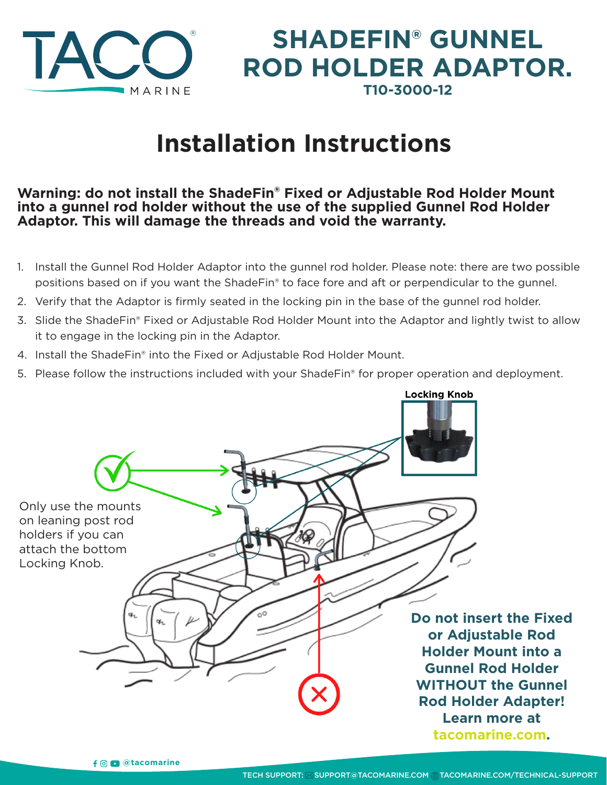

## **SHADEFIN® GUNNEL ROD HOLDER ADAPTOR. T10-3000-12**

# **Installation Instructions**

#### **Warning: do not install the ShadeFin® Fixed or Adjustable Rod Holder Mount into a gunnel rod holder without the use of the supplied Gunnel Rod Holder Adaptor. This will damage the threads and void the warranty.**

- 1. Install the Gunnel Rod Holder Adaptor into the gunnel rod holder. Please note: there are two possible positions based on if you want the ShadeFin® to face fore and aft or perpendicular to the gunnel.
- 2. Verify that the Adaptor is firmly seated in the locking pin in the base of the gunnel rod holder.
- 3. Slide the ShadeFin® Fixed or Adjustable Rod Holder Mount into the Adaptor and lightly twist to allow it to engage in the locking pin in the Adaptor.
- 4. Install the ShadeFin® into the Fixed or Adjustable Rod Holder Mount.
- 5. Please follow the instructions included with your ShadeFin® for proper operation and deployment.